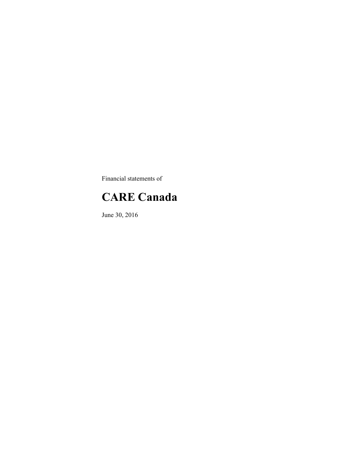Financial statements of

# **CARE Canada**

June 30, 2016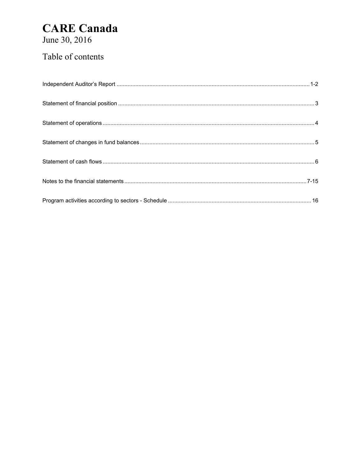June 30, 2016

### Table of contents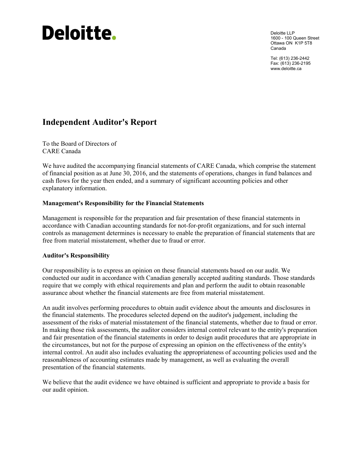# **Deloitte.**

Deloitte LLP 1600 - 100 Queen Street Ottawa ON K1P 5T8 Canada

Tel: (613) 236-2442 Fax: (613) 236-2195 www.deloitte.ca

### **Independent Auditor's Report**

To the Board of Directors of CARE Canada

We have audited the accompanying financial statements of CARE Canada, which comprise the statement of financial position as at June 30, 2016, and the statements of operations, changes in fund balances and cash flows for the year then ended, and a summary of significant accounting policies and other explanatory information.

### **Management's Responsibility for the Financial Statements**

Management is responsible for the preparation and fair presentation of these financial statements in accordance with Canadian accounting standards for not-for-profit organizations, and for such internal controls as management determines is necessary to enable the preparation of financial statements that are free from material misstatement, whether due to fraud or error.

### **Auditor's Responsibility**

Our responsibility is to express an opinion on these financial statements based on our audit. We conducted our audit in accordance with Canadian generally accepted auditing standards. Those standards require that we comply with ethical requirements and plan and perform the audit to obtain reasonable assurance about whether the financial statements are free from material misstatement.

An audit involves performing procedures to obtain audit evidence about the amounts and disclosures in the financial statements. The procedures selected depend on the auditor's judgement, including the assessment of the risks of material misstatement of the financial statements, whether due to fraud or error. In making those risk assessments, the auditor considers internal control relevant to the entity's preparation and fair presentation of the financial statements in order to design audit procedures that are appropriate in the circumstances, but not for the purpose of expressing an opinion on the effectiveness of the entity's internal control. An audit also includes evaluating the appropriateness of accounting policies used and the reasonableness of accounting estimates made by management, as well as evaluating the overall presentation of the financial statements.

We believe that the audit evidence we have obtained is sufficient and appropriate to provide a basis for our audit opinion.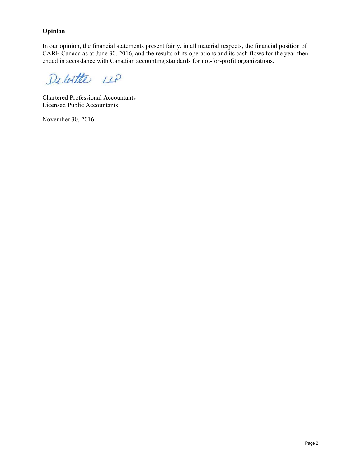### **Opinion**

In our opinion, the financial statements present fairly, in all material respects, the financial position of CARE Canada as at June 30, 2016, and the results of its operations and its cash flows for the year then ended in accordance with Canadian accounting standards for not-for-profit organizations.

Deleitte LLP

Chartered Professional Accountants Licensed Public Accountants

November 30, 2016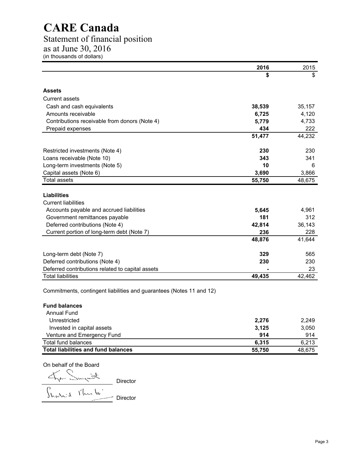Statement of financial position

as at June 30, 2016

(in thousands of dollars)

|                                                                      | 2016   | 2015   |
|----------------------------------------------------------------------|--------|--------|
|                                                                      | \$     | \$     |
| <b>Assets</b>                                                        |        |        |
| Current assets                                                       |        |        |
| Cash and cash equivalents                                            | 38,539 | 35,157 |
| Amounts receivable                                                   | 6,725  | 4,120  |
| Contributions receivable from donors (Note 4)                        | 5,779  | 4,733  |
| Prepaid expenses                                                     | 434    | 222    |
|                                                                      | 51,477 | 44,232 |
| Restricted investments (Note 4)                                      | 230    | 230    |
| Loans receivable (Note 10)                                           | 343    | 341    |
| Long-term investments (Note 5)                                       | 10     | 6      |
| Capital assets (Note 6)                                              | 3,690  | 3,866  |
| <b>Total assets</b>                                                  | 55,750 | 48,675 |
|                                                                      |        |        |
| Liabilities                                                          |        |        |
| <b>Current liabilities</b>                                           |        |        |
| Accounts payable and accrued liabilities                             | 5,645  | 4,961  |
| Government remittances payable                                       | 181    | 312    |
| Deferred contributions (Note 4)                                      | 42,814 | 36,143 |
| Current portion of long-term debt (Note 7)                           | 236    | 228    |
|                                                                      | 48,876 | 41,644 |
| Long-term debt (Note 7)                                              | 329    | 565    |
| Deferred contributions (Note 4)                                      | 230    | 230    |
| Deferred contributions related to capital assets                     |        | 23     |
| <b>Total liabilities</b>                                             | 49,435 | 42,462 |
| Commitments, contingent liabilities and guarantees (Notes 11 and 12) |        |        |
| <b>Fund balances</b>                                                 |        |        |
| Annual Fund                                                          |        |        |
| Unrestricted                                                         | 2,276  | 2,249  |
| Invested in capital assets                                           | 3,125  | 3,050  |
| Venture and Emergency Fund                                           | 914    | 914    |
| <b>Total fund balances</b>                                           | 6,315  | 6,213  |
| <b>Total liabilities and fund balances</b>                           | 55,750 | 48,675 |

On behalf of the Board

Director Director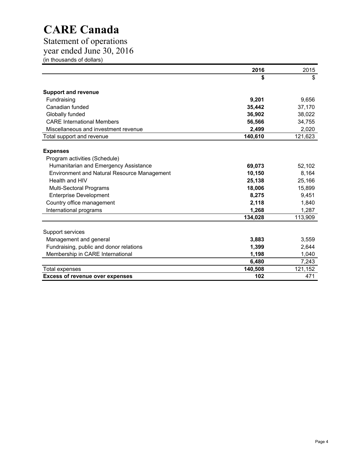Statement of operations year ended June 30, 2016 (in thousands of dollars)

|                                                    | 2016    | 2015    |
|----------------------------------------------------|---------|---------|
|                                                    | \$      | \$      |
|                                                    |         |         |
| <b>Support and revenue</b>                         |         |         |
| Fundraising                                        | 9,201   | 9,656   |
| Canadian funded                                    | 35,442  | 37,170  |
| Globally funded                                    | 36,902  | 38,022  |
| <b>CARE International Members</b>                  | 56,566  | 34,755  |
| Miscellaneous and investment revenue               | 2,499   | 2,020   |
| Total support and revenue                          | 140,610 | 121,623 |
|                                                    |         |         |
| <b>Expenses</b>                                    |         |         |
| Program activities (Schedule)                      |         |         |
| Humanitarian and Emergency Assistance              | 69,073  | 52,102  |
| <b>Environment and Natural Resource Management</b> | 10,150  | 8,164   |
| Health and HIV                                     | 25,138  | 25,166  |
| Multi-Sectoral Programs                            | 18,006  | 15,899  |
| <b>Enterprise Development</b>                      | 8,275   | 9,451   |
| Country office management                          | 2,118   | 1,840   |
| International programs                             | 1,268   | 1,287   |
|                                                    | 134,028 | 113,909 |
| Support services                                   |         |         |
| Management and general                             | 3,883   | 3,559   |
|                                                    |         |         |
| Fundraising, public and donor relations            | 1.399   | 2,644   |
| Membership in CARE International                   | 1,198   | 1,040   |
|                                                    | 6,480   | 7,243   |
| Total expenses                                     | 140,508 | 121,152 |
| <b>Excess of revenue over expenses</b>             | 102     | 471     |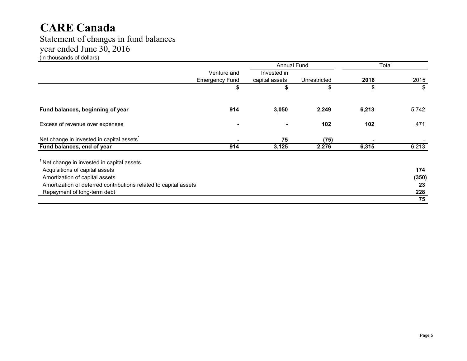### **CARE Canada** Statement of changes in fund balances year ended June 30, 2016 (in thousands of dollars)

|                                                                  |                       | Annual Fund    |              | Total          |       |
|------------------------------------------------------------------|-----------------------|----------------|--------------|----------------|-------|
|                                                                  | Venture and           | Invested in    |              |                |       |
|                                                                  | <b>Emergency Fund</b> | capital assets | Unrestricted | 2016           | 2015  |
|                                                                  | \$                    | \$             | \$           | \$             | \$    |
| Fund balances, beginning of year                                 | 914                   | 3,050          | 2,249        | 6,213          | 5,742 |
| Excess of revenue over expenses                                  | $\blacksquare$        |                | 102          | 102            | 471   |
| Net change in invested in capital assets <sup>1</sup>            | $\blacksquare$        | 75             | (75)         | $\blacksquare$ |       |
| Fund balances, end of year                                       | 914                   | 3,125          | 2,276        | 6,315          | 6,213 |
| Net change in invested in capital assets                         |                       |                |              |                |       |
| Acquisitions of capital assets                                   |                       |                |              |                | 174   |
| Amortization of capital assets                                   |                       |                |              |                | (350) |
| Amortization of deferred contributions related to capital assets |                       |                |              |                | 23    |
| Repayment of long-term debt                                      |                       |                |              |                | 228   |
|                                                                  |                       |                |              |                | 75    |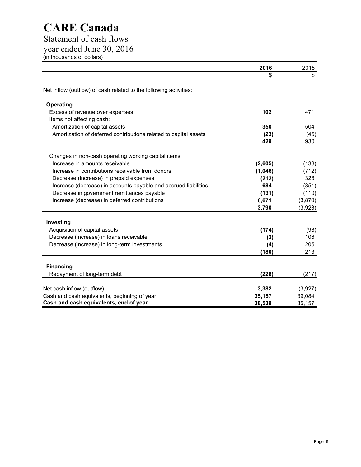# **CARE Canada** Statement of cash flows

year ended June 30, 2016 (in thousands of dollars)

|                                                                   | 2016    | 2015    |
|-------------------------------------------------------------------|---------|---------|
|                                                                   | \$      | \$      |
| Net inflow (outflow) of cash related to the following activities: |         |         |
| Operating                                                         |         |         |
| Excess of revenue over expenses                                   | 102     | 471     |
| Items not affecting cash:                                         |         |         |
| Amortization of capital assets                                    | 350     | 504     |
| Amortization of deferred contributions related to capital assets  | (23)    | (45)    |
|                                                                   | 429     | 930     |
| Changes in non-cash operating working capital items:              |         |         |
| Increase in amounts receivable                                    | (2,605) | (138)   |
| Increase in contributions receivable from donors                  | (1,046) | (712)   |
| Decrease (increase) in prepaid expenses                           | (212)   | 328     |
| Increase (decrease) in accounts payable and accrued liabilities   | 684     | (351)   |
| Decrease in government remittances payable                        | (131)   | (110)   |
| Increase (decrease) in deferred contributions                     | 6,671   | (3,870) |
|                                                                   | 3,790   | (3,923) |
| Investing                                                         |         |         |
| Acquisition of capital assets                                     | (174)   | (98)    |
| Decrease (increase) in loans receivable                           | (2)     | 106     |
| Decrease (increase) in long-term investments                      | (4)     | 205     |
|                                                                   | (180)   | 213     |
| <b>Financing</b>                                                  |         |         |
| Repayment of long-term debt                                       | (228)   | (217)   |
|                                                                   |         |         |
| Net cash inflow (outflow)                                         | 3,382   | (3,927) |
| Cash and cash equivalents, beginning of year                      | 35,157  | 39,084  |
| Cash and cash equivalents, end of year                            | 38,539  | 35,157  |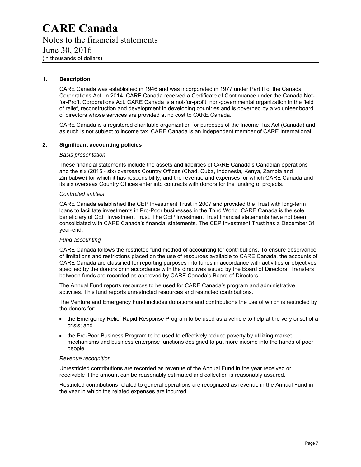### **CARE Canada**  Notes to the financial statements June 30, 2016 (in thousands of dollars)

#### **1. Description**

CARE Canada was established in 1946 and was incorporated in 1977 under Part II of the Canada Corporations Act. In 2014, CARE Canada received a Certificate of Continuance under the Canada Notfor-Profit Corporations Act. CARE Canada is a not-for-profit, non-governmental organization in the field of relief, reconstruction and development in developing countries and is governed by a volunteer board of directors whose services are provided at no cost to CARE Canada.

CARE Canada is a registered charitable organization for purposes of the Income Tax Act (Canada) and as such is not subject to income tax. CARE Canada is an independent member of CARE International.

#### **2. Significant accounting policies**

#### *Basis presentation*

These financial statements include the assets and liabilities of CARE Canada's Canadian operations and the six (2015 - six) overseas Country Offices (Chad, Cuba, Indonesia, Kenya, Zambia and Zimbabwe) for which it has responsibility, and the revenue and expenses for which CARE Canada and its six overseas Country Offices enter into contracts with donors for the funding of projects.

#### *Controlled entities*

CARE Canada established the CEP Investment Trust in 2007 and provided the Trust with long-term loans to facilitate investments in Pro-Poor businesses in the Third World. CARE Canada is the sole beneficiary of CEP Investment Trust. The CEP Investment Trust financial statements have not been consolidated with CARE Canada's financial statements. The CEP Investment Trust has a December 31 year-end.

#### *Fund accounting*

CARE Canada follows the restricted fund method of accounting for contributions. To ensure observance of limitations and restrictions placed on the use of resources available to CARE Canada, the accounts of CARE Canada are classified for reporting purposes into funds in accordance with activities or objectives specified by the donors or in accordance with the directives issued by the Board of Directors. Transfers between funds are recorded as approved by CARE Canada's Board of Directors.

The Annual Fund reports resources to be used for CARE Canada's program and administrative activities. This fund reports unrestricted resources and restricted contributions.

The Venture and Emergency Fund includes donations and contributions the use of which is restricted by the donors for:

- the Emergency Relief Rapid Response Program to be used as a vehicle to help at the very onset of a crisis; and
- the Pro-Poor Business Program to be used to effectively reduce poverty by utilizing market mechanisms and business enterprise functions designed to put more income into the hands of poor people.

#### *Revenue recognition*

Unrestricted contributions are recorded as revenue of the Annual Fund in the year received or receivable if the amount can be reasonably estimated and collection is reasonably assured.

Restricted contributions related to general operations are recognized as revenue in the Annual Fund in the year in which the related expenses are incurred.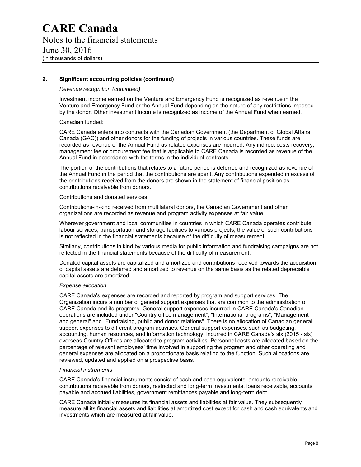#### **2. Significant accounting policies (continued)**

#### *Revenue recognition (continued)*

Investment income earned on the Venture and Emergency Fund is recognized as revenue in the Venture and Emergency Fund or the Annual Fund depending on the nature of any restrictions imposed by the donor. Other investment income is recognized as income of the Annual Fund when earned.

Canadian funded:

CARE Canada enters into contracts with the Canadian Government (the Department of Global Affairs Canada (GAC)) and other donors for the funding of projects in various countries. These funds are recorded as revenue of the Annual Fund as related expenses are incurred. Any indirect costs recovery, management fee or procurement fee that is applicable to CARE Canada is recorded as revenue of the Annual Fund in accordance with the terms in the individual contracts.

The portion of the contributions that relates to a future period is deferred and recognized as revenue of the Annual Fund in the period that the contributions are spent. Any contributions expended in excess of the contributions received from the donors are shown in the statement of financial position as contributions receivable from donors.

Contributions and donated services:

Contributions-in-kind received from multilateral donors, the Canadian Government and other organizations are recorded as revenue and program activity expenses at fair value.

Wherever government and local communities in countries in which CARE Canada operates contribute labour services, transportation and storage facilities to various projects, the value of such contributions is not reflected in the financial statements because of the difficulty of measurement.

Similarly, contributions in kind by various media for public information and fundraising campaigns are not reflected in the financial statements because of the difficulty of measurement.

Donated capital assets are capitalized and amortized and contributions received towards the acquisition of capital assets are deferred and amortized to revenue on the same basis as the related depreciable capital assets are amortized.

#### *Expense allocation*

CARE Canada's expenses are recorded and reported by program and support services. The Organization incurs a number of general support expenses that are common to the administration of CARE Canada and its programs. General support expenses incurred in CARE Canada's Canadian operations are included under "Country office management", "International programs", "Management and general" and "Fundraising, public and donor relations". There is no allocation of Canadian general support expenses to different program activities. General support expenses, such as budgeting, accounting, human resources, and information technology, incurred in CARE Canada's six (2015 - six) overseas Country Offices are allocated to program activities. Personnel costs are allocated based on the percentage of relevant employees' time involved in supporting the program and other operating and general expenses are allocated on a proportionate basis relating to the function. Such allocations are reviewed, updated and applied on a prospective basis.

#### *Financial instruments*

CARE Canada's financial instruments consist of cash and cash equivalents, amounts receivable, contributions receivable from donors, restricted and long-term investments, loans receivable, accounts payable and accrued liabilities, government remittances payable and long-term debt.

CARE Canada initially measures its financial assets and liabilities at fair value. They subsequently measure all its financial assets and liabilities at amortized cost except for cash and cash equivalents and investments which are measured at fair value.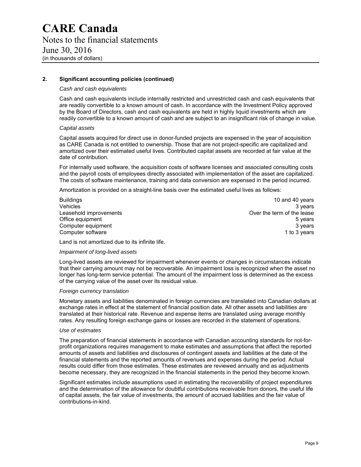#### **2. Significant accounting policies (continued)**

#### *Cash and cash equivalents*

Cash and cash equivalents include internally restricted and unrestricted cash and cash equivalents that are readily convertible to a known amount of cash. In accordance with the Investment Policy approved by the Board of Directors, cash and cash equivalents are held in highly liquid investments which are readily convertible to a known amount of cash and are subject to an insignificant risk of change in value.

#### *Capital assets*

Capital assets acquired for direct use in donor-funded projects are expensed in the year of acquisition as CARE Canada is not entitled to ownership. Those that are not project-specific are capitalized and amortized over their estimated useful lives. Contributed capital assets are recorded at fair value at the date of contribution.

For internally used software, the acquisition costs of software licenses and associated consulting costs and the payroll costs of employees directly associated with implementation of the asset are capitalized. The costs of software maintenance, training and data conversion are expensed in the period incurred.

Amortization is provided on a straight-line basis over the estimated useful lives as follows:

| <b>Buildings</b>       | 10 and 40 years            |
|------------------------|----------------------------|
| <b>Vehicles</b>        | 3 vears                    |
| Leasehold improvements | Over the term of the lease |
| Office equipment       | 5 years                    |
| Computer equipment     | 3 years                    |
| Computer software      | 1 to 3 vears               |

Buildings 10 and 40 years Over the term of the lease puter software 1 to 3 years and the set of the set of the set of the set of the set of the set of the set of t

Land is not amortized due to its infinite life.

#### *Impairment of long-lived assets*

Long-lived assets are reviewed for impairment whenever events or changes in circumstances indicate that their carrying amount may not be recoverable. An impairment loss is recognized when the asset no longer has long-term service potential. The amount of the impairment loss is determined as the excess of the carrying value of the asset over its residual value.

#### *Foreign currency translation*

Monetary assets and liabilities denominated in foreign currencies are translated into Canadian dollars at exchange rates in effect at the statement of financial position date. All other assets and liabilities are translated at their historical rate. Revenue and expense items are translated using average monthly rates. Any resulting foreign exchange gains or losses are recorded in the statement of operations.

#### *Use of estimates*

The preparation of financial statements in accordance with Canadian accounting standards for not-forprofit organizations requires management to make estimates and assumptions that affect the reported amounts of assets and liabilities and disclosures of contingent assets and liabilities at the date of the financial statements and the reported amounts of revenues and expenses during the period. Actual results could differ from those estimates. These estimates are reviewed annually and as adjustments become necessary, they are recognized in the financial statements in the period they become known.

Significant estimates include assumptions used in estimating the recoverability of project expenditures and the determination of the allowance for doubtful contributions receivable from donors, the useful life of capital assets, the fair value of investments, the amount of accrued liabilities and the fair value of contributions-in-kind.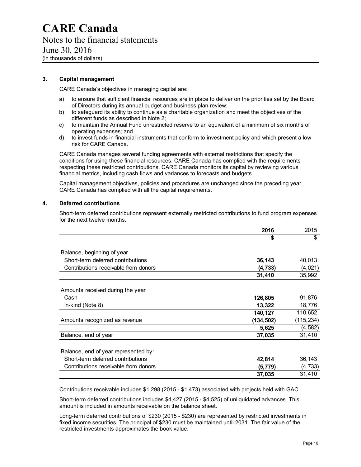#### **3. Capital management**

CARE Canada's objectives in managing capital are:

- a) to ensure that sufficient financial resources are in place to deliver on the priorities set by the Board of Directors during its annual budget and business plan review;
- b) to safeguard its ability to continue as a charitable organization and meet the objectives of the different funds as described in Note 2;
- c) to maintain the Annual Fund unrestricted reserve to an equivalent of a minimum of six months of operating expenses; and
- d) to invest funds in financial instruments that conform to investment policy and which present a low risk for CARE Canada.

CARE Canada manages several funding agreements with external restrictions that specify the conditions for using these financial resources. CARE Canada has complied with the requirements respecting these restricted contributions. CARE Canada monitors its capital by reviewing various financial metrics, including cash flows and variances to forecasts and budgets.

Capital management objectives, policies and procedures are unchanged since the preceding year. CARE Canada has complied with all the capital requirements.

#### **4. Deferred contributions**

Short-term deferred contributions represent externally restricted contributions to fund program expenses for the next twelve months.

|                                      | 2016      | 2015      |
|--------------------------------------|-----------|-----------|
|                                      | \$        | \$        |
| Balance, beginning of year           |           |           |
| Short-term deferred contributions    | 36,143    | 40,013    |
| Contributions receivable from donors | (4,733)   | (4,021)   |
|                                      | 31,410    | 35,992    |
| Amounts received during the year     |           |           |
| Cash                                 | 126,805   | 91,876    |
| In-kind (Note 8)                     | 13,322    | 18,776    |
|                                      | 140,127   | 110,652   |
| Amounts recognized as revenue        | (134,502) | (115,234) |
|                                      | 5,625     | (4, 582)  |
| Balance, end of year                 | 37,035    | 31,410    |
| Balance, end of year represented by: |           |           |
| Short-term deferred contributions    | 42,814    | 36,143    |
| Contributions receivable from donors | (5, 779)  | (4, 733)  |
|                                      | 37,035    | 31,410    |

Contributions receivable includes \$1,298 (2015 - \$1,473) associated with projects held with GAC.

Short-term deferred contributions includes \$4,427 (2015 - \$4,525) of unliquidated advances. This amount is included in amounts receivable on the balance sheet.

Long-term deferred contributions of \$230 (2015 - \$230) are represented by restricted investments in fixed income securities. The principal of \$230 must be maintained until 2031. The fair value of the restricted investments approximates the book value.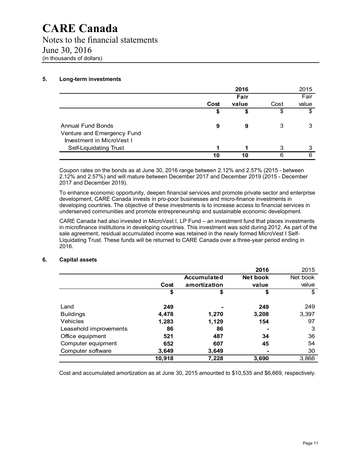#### **5. Long-term investments**

|                                                                              |      | 2016  |      | 2015  |
|------------------------------------------------------------------------------|------|-------|------|-------|
|                                                                              |      | Fair  |      | Fair  |
|                                                                              | Cost | value | Cost | value |
|                                                                              | \$   | S     | \$   | \$    |
| Annual Fund Bonds<br>Venture and Emergency Fund<br>Investment in MicroVest I | 9    | 9     | 3    | З     |
| Self-Liquidating Trust                                                       |      |       | 3    | З     |
|                                                                              | 10   | 10    | 6    | 6     |

Coupon rates on the bonds as at June 30, 2016 range between 2.12% and 2.57% (2015 - between 2.12% and 2.57%) and will mature between December 2017 and December 2019 (2015 - December 2017 and December 2019).

To enhance economic opportunity, deepen financial services and promote private sector and enterprise development, CARE Canada invests in pro-poor businesses and micro-finance investments in developing countries. The objective of these investments is to increase access to financial services in underserved communities and promote entrepreneurship and sustainable economic development.

CARE Canada had also invested in MicroVest I, LP Fund – an investment fund that places investments in microfinance institutions in developing countries. This investment was sold during 2012. As part of the sale agreement, residual accumulated income was retained in the newly formed MicroVest I Self-Liquidating Trust. These funds will be returned to CARE Canada over a three-year period ending in 2016.

#### **6. Capital assets**

|                        |        |                    | 2016     | 2015     |
|------------------------|--------|--------------------|----------|----------|
|                        |        | <b>Accumulated</b> | Net book | Net book |
|                        | Cost   | amortization       | value    | value    |
|                        | \$     | \$                 | \$       | \$       |
|                        |        |                    |          |          |
| Land                   | 249    |                    | 249      | 249      |
| <b>Buildings</b>       | 4,478  | 1,270              | 3,208    | 3,397    |
| <b>Vehicles</b>        | 1,283  | 1,129              | 154      | 97       |
| Leasehold improvements | 86     | 86                 |          | 3        |
| Office equipment       | 521    | 487                | 34       | 36       |
| Computer equipment     | 652    | 607                | 45       | 54       |
| Computer software      | 3,649  | 3,649              |          | 30       |
|                        | 10,918 | 7,228              | 3,690    | 3,866    |

Cost and accumulated amortization as at June 30, 2015 amounted to \$10,535 and \$6,669, respectively.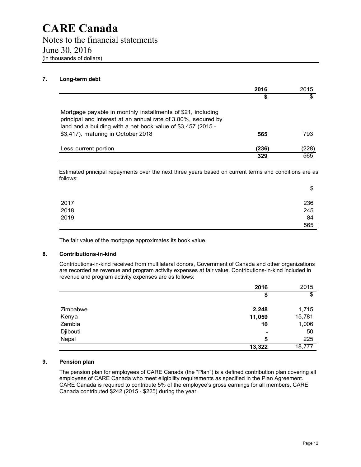#### **7. Long-term debt**

|                                                                                                                                                                                              | 2016  | 2015  |
|----------------------------------------------------------------------------------------------------------------------------------------------------------------------------------------------|-------|-------|
|                                                                                                                                                                                              | \$    | S     |
| Mortgage payable in monthly installments of \$21, including<br>principal and interest at an annual rate of 3.80%, secured by<br>land and a building with a net book value of \$3,457 (2015 - |       |       |
| \$3,417), maturing in October 2018                                                                                                                                                           | 565   | 793   |
| Less current portion                                                                                                                                                                         | (236) | (228) |
|                                                                                                                                                                                              | 329   | 565   |

Estimated principal repayments over the next three years based on current terms and conditions are as follows:

|                      | \$  |
|----------------------|-----|
|                      | 236 |
| 2017<br>2018<br>2019 | 245 |
|                      | 84  |
|                      | 565 |

The fair value of the mortgage approximates its book value.

#### **8. Contributions-in-kind**

Contributions-in-kind received from multilateral donors, Government of Canada and other organizations are recorded as revenue and program activity expenses at fair value. Contributions-in-kind included in revenue and program activity expenses are as follows:

|          | 2016   | 2015   |
|----------|--------|--------|
|          | \$     | \$     |
| Zimbabwe | 2,248  | 1,715  |
| Kenya    | 11,059 | 15,781 |
| Zambia   | 10     | 1,006  |
| Djibouti | ۰      | 50     |
| Nepal    | 5      | 225    |
|          | 13,322 | 18,777 |

#### **9. Pension plan**

The pension plan for employees of CARE Canada (the "Plan") is a defined contribution plan covering all employees of CARE Canada who meet eligibility requirements as specified in the Plan Agreement. CARE Canada is required to contribute 5% of the employee's gross earnings for all members. CARE Canada contributed \$242 (2015 - \$225) during the year.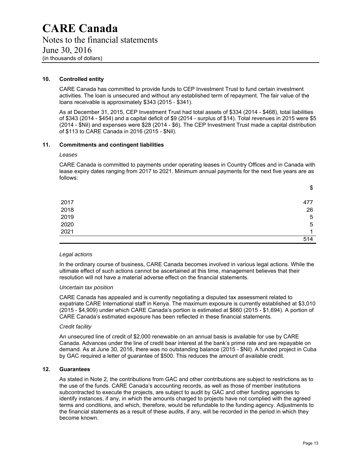#### **10. Controlled entity**

CARE Canada has committed to provide funds to CEP Investment Trust to fund certain investment activities. The loan is unsecured and without any established term of repayment. The fair value of the loans receivable is approximately \$343 (2015 - \$341).

As at December 31, 2015, CEP Investment Trust had total assets of \$334 (2014 - \$468), total liabilities of \$343 (2014 - \$454) and a capital deficit of \$9 (2014 - surplus of \$14). Total revenues in 2015 were \$5 (2014 - \$Nil) and expenses were \$28 (2014 - \$6). The CEP Investment Trust made a capital distribution of \$113 to CARE Canada in 2016 (2015 - \$Nil).

#### **11. Commitments and contingent liabilities**

#### *Leases*

CARE Canada is committed to payments under operating leases in Country Offices and in Canada with lease expiry dates ranging from 2017 to 2021. Minimum annual payments for the next five years are as follows:

|              | \$         |
|--------------|------------|
| 2017         | 477        |
| 2018         | 26         |
| 2019         | 5          |
| 2020<br>2021 | $\sqrt{5}$ |
|              | 1          |
|              | 514        |

#### *Legal actions*

In the ordinary course of business, CARE Canada becomes involved in various legal actions. While the ultimate effect of such actions cannot be ascertained at this time, management believes that their resolution will not have a material adverse effect on the financial statements.

#### *Uncertain tax position*

CARE Canada has appealed and is currently negotiating a disputed tax assessment related to expatriate CARE International staff in Kenya. The maximum exposure is currently established at \$3,010 (2015 - \$4,909) under which CARE Canada's portion is estimated at \$660 (2015 - \$1,694). A portion of CARE Canada's estimated exposure has been reflected in these financial statements.

#### *Credit facility*

An unsecured line of credit of \$2,000 renewable on an annual basis is available for use by CARE Canada. Advances under the line of credit bear interest at the bank's prime rate and are repayable on demand. As at June 30, 2016, there was no outstanding balance (2015 - \$Nil). A funded project in Cuba by GAC required a letter of guarantee of \$500. This reduces the amount of available credit.

#### **12. Guarantees**

As stated in Note 2, the contributions from GAC and other contributions are subject to restrictions as to the use of the funds. CARE Canada's accounting records, as well as those of member institutions subcontracted to execute the projects, are subject to audit by GAC and other funding agencies to identify instances, if any, in which the amounts charged to projects have not complied with the agreed terms and conditions, and which, therefore, would be refundable to the funding agency. Adjustments to the financial statements as a result of these audits, if any, will be recorded in the period in which they become known.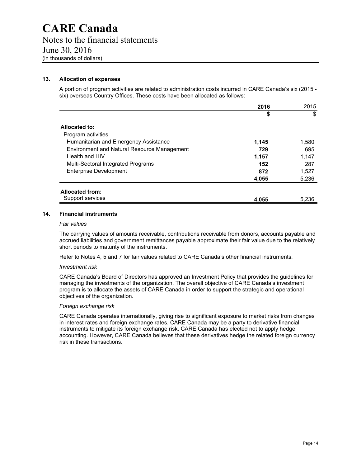#### **13. Allocation of expenses**

A portion of program activities are related to administration costs incurred in CARE Canada's six (2015 six) overseas Country Offices. These costs have been allocated as follows:

|                                                    | 2016  | 2015  |
|----------------------------------------------------|-------|-------|
|                                                    | \$    | \$    |
| Allocated to:                                      |       |       |
| Program activities                                 |       |       |
| Humanitarian and Emergency Assistance              | 1,145 | 1,580 |
| <b>Environment and Natural Resource Management</b> | 729   | 695   |
| Health and HIV                                     | 1,157 | 1,147 |
| Multi-Sectoral Integrated Programs                 | 152   | 287   |
| <b>Enterprise Development</b>                      | 872   | 1,527 |
|                                                    | 4,055 | 5,236 |
|                                                    |       |       |
| <b>Allocated from:</b><br>Support services         | 4.055 | 5.236 |

#### **14. Financial instruments**

#### *Fair values*

The carrying values of amounts receivable, contributions receivable from donors, accounts payable and accrued liabilities and government remittances payable approximate their fair value due to the relatively short periods to maturity of the instruments.

Refer to Notes 4, 5 and 7 for fair values related to CARE Canada's other financial instruments.

#### *Investment risk*

CARE Canada's Board of Directors has approved an Investment Policy that provides the guidelines for managing the investments of the organization. The overall objective of CARE Canada's investment program is to allocate the assets of CARE Canada in order to support the strategic and operational objectives of the organization.

#### *Foreign exchange risk*

CARE Canada operates internationally, giving rise to significant exposure to market risks from changes in interest rates and foreign exchange rates. CARE Canada may be a party to derivative financial instruments to mitigate its foreign exchange risk. CARE Canada has elected not to apply hedge accounting. However, CARE Canada believes that these derivatives hedge the related foreign currency risk in these transactions.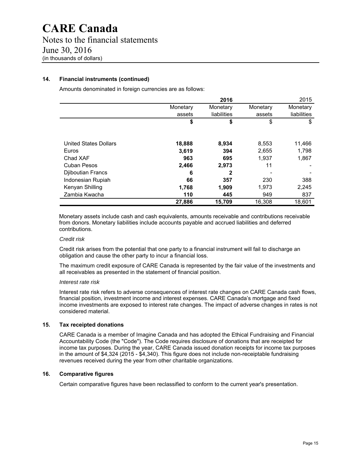#### **14. Financial instruments (continued)**

Amounts denominated in foreign currencies are as follows:

|                              |          | 2016        |          | 2015        |
|------------------------------|----------|-------------|----------|-------------|
|                              | Monetary | Monetary    | Monetary | Monetary    |
|                              | assets   | liabilities | assets   | liabilities |
|                              | \$       | \$          | \$       | \$          |
|                              |          |             |          |             |
| <b>United States Dollars</b> | 18,888   | 8,934       | 8,553    | 11,466      |
| Euros                        | 3,619    | 394         | 2,655    | 1,798       |
| Chad XAF                     | 963      | 695         | 1,937    | 1,867       |
| Cuban Pesos                  | 2,466    | 2,973       | 11       |             |
| Djiboutian Francs            | 6        | 2           |          |             |
| Indonesian Rupiah            | 66       | 357         | 230      | 388         |
| Kenyan Shilling              | 1,768    | 1,909       | 1,973    | 2,245       |
| Zambia Kwacha                | 110      | 445         | 949      | 837         |
|                              | 27,886   | 15,709      | 16.308   | 18.601      |

Monetary assets include cash and cash equivalents, amounts receivable and contributions receivable from donors. Monetary liabilities include accounts payable and accrued liabilities and deferred contributions.

#### *Credit risk*

Credit risk arises from the potential that one party to a financial instrument will fail to discharge an obligation and cause the other party to incur a financial loss.

The maximum credit exposure of CARE Canada is represented by the fair value of the investments and all receivables as presented in the statement of financial position.

#### *Interest rate risk*

Interest rate risk refers to adverse consequences of interest rate changes on CARE Canada cash flows, financial position, investment income and interest expenses. CARE Canada's mortgage and fixed income investments are exposed to interest rate changes. The impact of adverse changes in rates is not considered material.

#### **15. Tax receipted donations**

CARE Canada is a member of Imagine Canada and has adopted the Ethical Fundraising and Financial Accountability Code (the "Code"). The Code requires disclosure of donations that are receipted for income tax purposes. During the year, CARE Canada issued donation receipts for income tax purposes in the amount of \$4,324 (2015 - \$4,340). This figure does not include non-receiptable fundraising revenues received during the year from other charitable organizations.

#### **16. Comparative figures**

Certain comparative figures have been reclassified to conform to the current year's presentation.